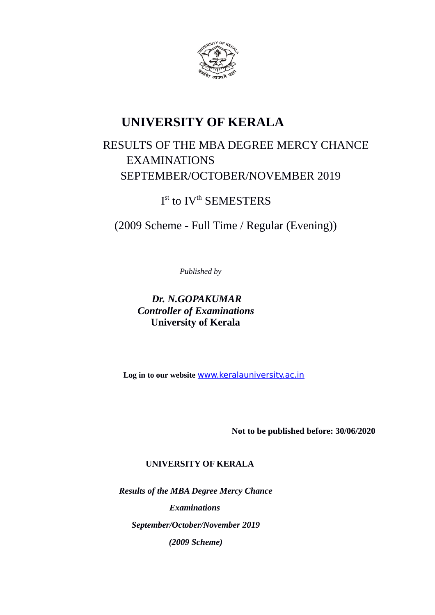

# RESULTS OF THE MBA DEGREE MERCY CHANCE EXAMINATIONS SEPTEMBER/OCTOBER/NOVEMBER 2019

Ist to IV<sup>th</sup> SEMESTERS

(2009 Scheme - Full Time / Regular (Evening))

*Published by*

*Dr. N.GOPAKUMAR Controller of Examinations* **University of Kerala**

**Log in to our website** [www.keralauniversity.ac.in](http://www.keralauniversity.ac.in/)

**Not to be published before: 30/06/2020**

# **UNIVERSITY OF KERALA**

*Results of the MBA Degree Mercy Chance Examinations September/October/November 2019 (2009 Scheme)*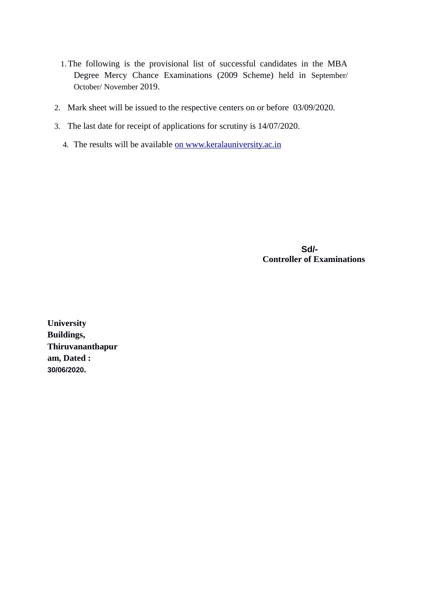- 1.The following is the provisional list of successful candidates in the MBA Degree Mercy Chance Examinations (2009 Scheme) held in September/ October/ November 2019.
- 2. Mark sheet will be issued to the respective centers on or before 03/09/2020.
- 3. The last date for receipt of applications for scrutiny is 14/07/2020.
	- 4. The results will be available [on www.keralauniversity.ac.in](http://www.keralauniversity.ac.in/)

 **Sd/- Controller of Examinations**

**University Buildings, Thiruvananthapur am, Dated : 30/06/2020.**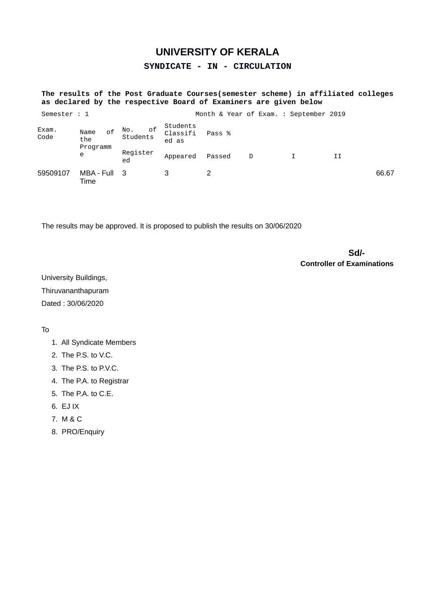**SYNDICATE - IN - CIRCULATION**

## **The results of the Post Graduate Courses(semester scheme) in affiliated colleges as declared by the respective Board of Examiners are given below**

| Semester : 1  |                                    |                       |                               | Month & Year of Exam. : September 2019 |   |    |       |
|---------------|------------------------------------|-----------------------|-------------------------------|----------------------------------------|---|----|-------|
| Exam.<br>Code | 0f<br>Name<br>the<br>Programm<br>e | of<br>NO.<br>Students | Students<br>Classifi<br>ed as | Pass %                                 |   |    |       |
|               |                                    | Register<br>ed        | Appeared                      | Passed                                 | D | II |       |
| 59509107      | MBA - Full 3<br>Time               |                       |                               |                                        |   |    | 66.67 |

The results may be approved. It is proposed to publish the results on 30/06/2020

 **Sd/- Controller of Examinations**

University Buildings, Thiruvananthapuram Dated : 30/06/2020

- 1. All Syndicate Members
- 2. The P.S. to V.C.
- 3. The P.S. to P.V.C.
- 4. The P.A. to Registrar
- 5. The P.A. to C.E.
- 6. EJ IX
- 7. M & C
- 8. PRO/Enquiry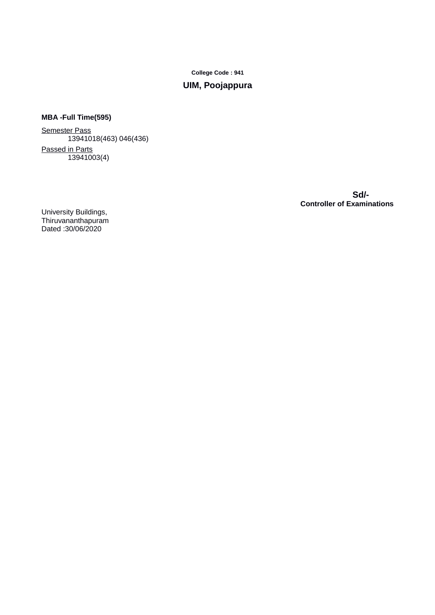# **UIM, Poojappura**

# **MBA -Full Time(595)**

Semester Pass 13941018(463) 046(436) Passed in Parts  $\frac{13941003(4)}{2}$ 

 **Sd/- Controller of Examinations**

University Buildings, Thiruvananthapuram Dated :30/06/2020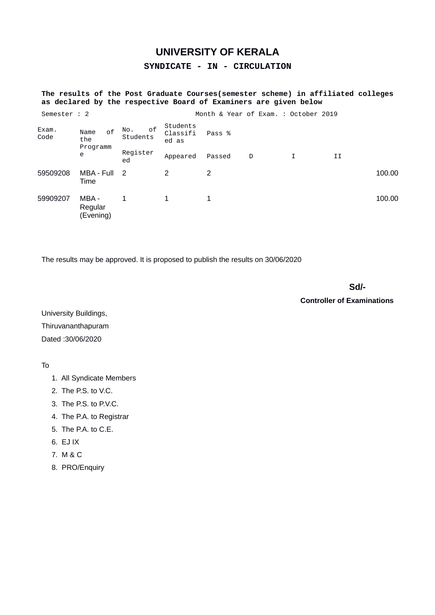**SYNDICATE - IN - CIRCULATION**

## **The results of the Post Graduate Courses(semester scheme) in affiliated colleges as declared by the respective Board of Examiners are given below**

| Semester : 2  |                                               |                       |                               |        | Month & Year of Exam. : October 2019 |   |    |        |
|---------------|-----------------------------------------------|-----------------------|-------------------------------|--------|--------------------------------------|---|----|--------|
| Exam.<br>Code | <sub>of</sub><br>Name<br>the<br>Programm<br>e | 0f<br>No.<br>Students | Students<br>Classifi<br>ed as | Pass % |                                      |   |    |        |
|               |                                               | Register<br>ed        | Appeared                      | Passed | D                                    | I | IJ |        |
| 59509208      | MBA - Full<br>Time                            | $\overline{2}$        | 2                             | 2      |                                      |   |    | 100.00 |
| 59909207      | MBA -<br>Regular<br>(Evening)                 |                       | 1                             | 1      |                                      |   |    | 100.00 |

The results may be approved. It is proposed to publish the results on 30/06/2020

**Sd/-** Samuel Contract of the State of the State of the State of the State of the State of the State of the State of the State of the State of the State of the State of the State of the State of the State of the State of t

**Controller of Examinations**

University Buildings, Thiruvananthapuram Dated :30/06/2020

- 1. All Syndicate Members
- 2. The P.S. to V.C.
- 3. The P.S. to P.V.C.
- 4. The P.A. to Registrar
- 5. The P.A. to C.E.
- 6. EJ IX
- 7. M & C
- 8. PRO/Enquiry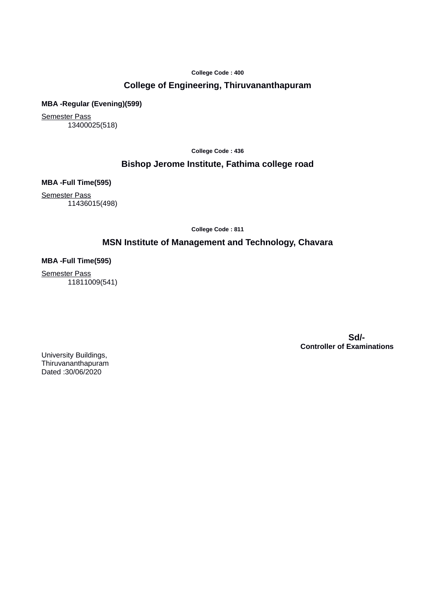# **College of Engineering, Thiruvananthapuram**

### **MBA -Regular (Evening)(599)**

Semester Pass 13400025(518)

**College Code : 436**

# **Bishop Jerome Institute, Fathima college road**

**MBA -Full Time(595)**

Semester Pass 11436015(498)

**College Code : 811**

# **MSN Institute of Management and Technology, Chavara**

### **MBA -Full Time(595)**

Semester Pass 11811009(541)

> **Sd/- Controller of Examinations**

University Buildings, Thiruvananthapuram Dated :30/06/2020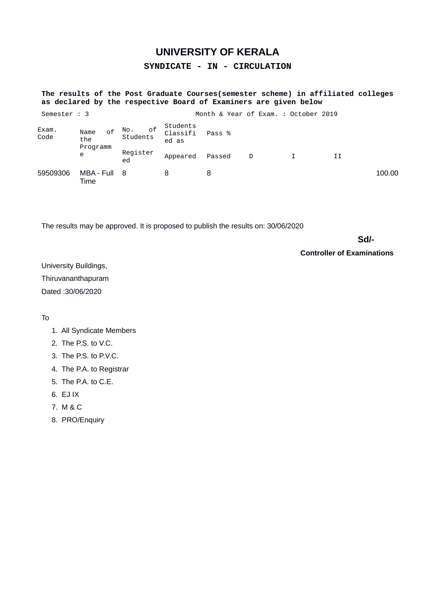**SYNDICATE - IN - CIRCULATION**

## **The results of the Post Graduate Courses(semester scheme) in affiliated colleges as declared by the respective Board of Examiners are given below**

| Semester : 3  |                                    |                    |                               | Month & Year of Exam. : October 2019 |   |    |        |
|---------------|------------------------------------|--------------------|-------------------------------|--------------------------------------|---|----|--------|
| Exam.<br>Code | 0f<br>Name<br>the<br>Programm<br>e | No. of<br>Students | Students<br>Classifi<br>ed as | Pass %                               |   |    |        |
|               |                                    | Register<br>ed     | Appeared                      | Passed                               | D | II |        |
| 59509306      | MBA - Full 8<br>Time               |                    | 8                             |                                      |   |    | 100.00 |

The results may be approved. It is proposed to publish the results on: 30/06/2020

**Sd/-** Samuel Contract of the State of the State of the State of the State of the State of the State of the State of the State of the State of the State of the State of the State of the State of the State of the State of t

**Controller of Examinations**

University Buildings, Thiruvananthapuram Dated :30/06/2020

- 1. All Syndicate Members
- 2. The P.S. to V.C.
- 3. The P.S. to P.V.C.
- 4. The P.A. to Registrar
- 5. The P.A. to C.E.
- 6. EJ IX
- 7. M & C
- 8. PRO/Enquiry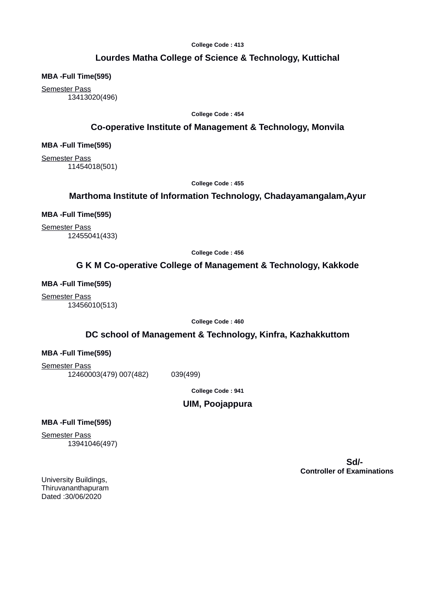# **Lourdes Matha College of Science & Technology, Kuttichal**

**MBA -Full Time(595)**

Semester Pass 13413020(496)

**College Code : 454**

# **Co-operative Institute of Management & Technology, Monvila**

**MBA -Full Time(595)**

Semester Pass 11454018(501)

**College Code : 455**

# **Marthoma Institute of Information Technology, Chadayamangalam,Ayur**

**MBA -Full Time(595)**

Semester Pass 12455041(433)

**College Code : 456**

# **G K M Co-operative College of Management & Technology, Kakkode**

**MBA -Full Time(595)**

Semester Pass 13456010(513)

**College Code : 460**

# **DC school of Management & Technology, Kinfra, Kazhakkuttom**

#### **MBA -Full Time(595)**

Semester Pass 12460003(479) 007(482) 039(499)

**College Code : 941**

### **UIM, Poojappura**

### **MBA -Full Time(595)**

**Semester Pass** 13941046(497)

> **Sd/- Controller of Examinations**

University Buildings, Thiruvananthapuram Dated :30/06/2020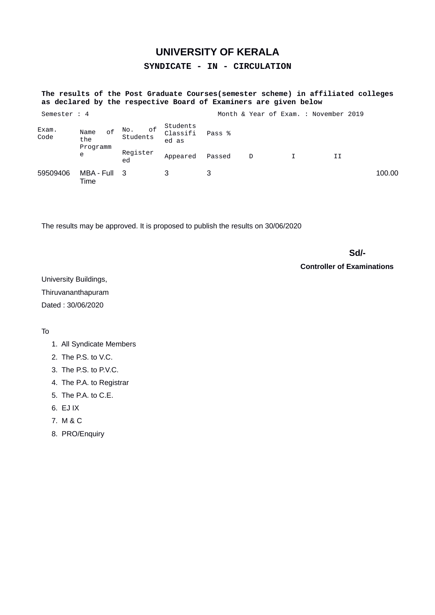**SYNDICATE - IN - CIRCULATION**

## **The results of the Post Graduate Courses(semester scheme) in affiliated colleges as declared by the respective Board of Examiners are given below**

| Semester : 4  |                                    |                       |                               |        |   | Month & Year of Exam. : November 2019 |        |
|---------------|------------------------------------|-----------------------|-------------------------------|--------|---|---------------------------------------|--------|
| Exam.<br>Code | 0f<br>Name<br>the<br>Programm<br>e | оf<br>NO.<br>Students | Students<br>Classifi<br>ed as | Pass % |   |                                       |        |
|               |                                    | Register<br>ed        | Appeared                      | Passed | D | II                                    |        |
| 59509406      | MBA - Full 3<br>Time               |                       |                               |        |   |                                       | 100.00 |

The results may be approved. It is proposed to publish the results on 30/06/2020

**Sd/-** Samuel Contract of the State State State State State State State State State State State State State State State State State State State State State State State State State State State State State State State State

**Controller of Examinations**

University Buildings, Thiruvananthapuram Dated : 30/06/2020

- 1. All Syndicate Members
- 2. The P.S. to V.C.
- 3. The P.S. to P.V.C.
- 4. The P.A. to Registrar
- 5. The P.A. to C.E.
- 6. EJ IX
- 7. M & C
- 8. PRO/Enquiry